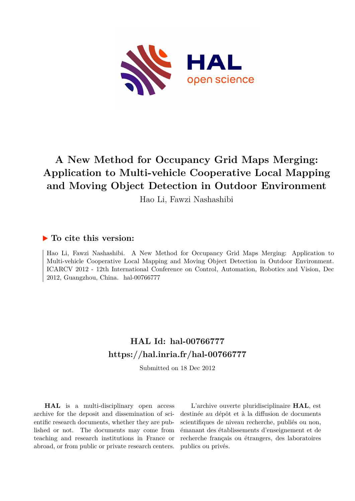

## **A New Method for Occupancy Grid Maps Merging: Application to Multi-vehicle Cooperative Local Mapping and Moving Object Detection in Outdoor Environment**

Hao Li, Fawzi Nashashibi

### **To cite this version:**

Hao Li, Fawzi Nashashibi. A New Method for Occupancy Grid Maps Merging: Application to Multi-vehicle Cooperative Local Mapping and Moving Object Detection in Outdoor Environment. ICARCV 2012 - 12th International Conference on Control, Automation, Robotics and Vision, Dec 2012, Guangzhou, China. hal-00766777

## **HAL Id: hal-00766777 <https://hal.inria.fr/hal-00766777>**

Submitted on 18 Dec 2012

**HAL** is a multi-disciplinary open access archive for the deposit and dissemination of scientific research documents, whether they are published or not. The documents may come from teaching and research institutions in France or abroad, or from public or private research centers.

L'archive ouverte pluridisciplinaire **HAL**, est destinée au dépôt et à la diffusion de documents scientifiques de niveau recherche, publiés ou non, émanant des établissements d'enseignement et de recherche français ou étrangers, des laboratoires publics ou privés.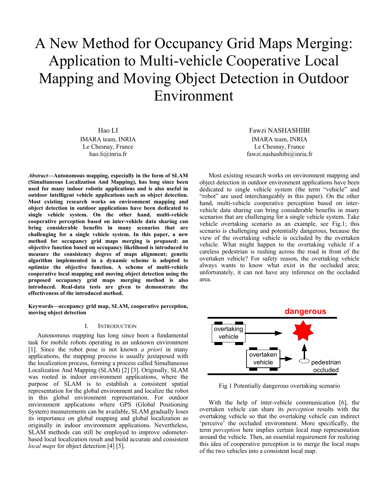# A New Method for Occupancy Grid Maps Merging: Application to Multi-vehicle Cooperative Local Mapping and Moving Object Detection in Outdoor Environment

Hao LI IMARA team, INRIA Le Chesnay, France hao.li@inria.fr

*Abstract***—Autonomous mapping, especially in the form of SLAM (Simultaneous Localization And Mapping), has long since been used for many indoor robotic applications and is also useful in outdoor intelligent vehicle applications such as object detection. Most existing research works on environment mapping and object detection in outdoor applications have been dedicated to single vehicle system. On the other hand, multi-vehicle cooperative perception based on inter-vehicle data sharing can bring considerable benefits in many scenarios that are challenging for a single vehicle system. In this paper, a new method for occupancy grid maps merging is proposed: an objective function based on occupancy likelihood is introduced to measure the consistency degree of maps alignment; genetic algorithm implemented in a dynamic scheme is adopted to optimize the objective function. A scheme of multi-vehicle cooperative local mapping and moving object detection using the proposed occupancy grid maps merging method is also introduced. Real-data tests are given to demonstrate the effectiveness of the introduced method.** 

**Keywords—occupancy grid map, SLAM, cooperative perception, moving object detection** 

#### I. INTRODUCTION

Autonomous mapping has long since been a fundamental task for mobile robots operating in an unknown environment [1]. Since the robot pose is not known *a priori* in many applications, the mapping process is usually juxtaposed with the localization process, forming a process called Simultaneous Localization And Mapping (SLAM) [2] [3]. Originally, SLAM was rooted in indoor environment applications, where the purpose of SLAM is to establish a consistent spatial representation for the global environment and localize the robot in this global environment representation. For outdoor environment applications where GPS (Global Positioning System) measurements can be available, SLAM gradually loses its importance on global mapping and global localization as originally in indoor environment applications. Nevertheless, SLAM methods can still be employed to improve odometerbased local localization result and build accurate and consistent *local maps* for object detection [4] [5].

Fawzi NASHASHIBI IMARA team, INRIA Le Chesnay, France fawzi.nashashibi@inria.fr

Most existing research works on environment mapping and object detection in outdoor environment applications have been dedicated to single vehicle system (the term "vehicle" and "robot" are used interchangeably in this paper). On the other hand, multi-vehicle cooperative perception based on intervehicle data sharing can bring considerable benefits in many scenarios that are challenging for a single vehicle system. Take vehicle overtaking scenario as an example, see Fig.1; this scenario is challenging and potentially dangerous, because the view of the overtaking vehicle is occluded by the overtaken vehicle. What might happen to the overtaking vehicle if a careless pedestrian is rushing across the road in front of the overtaken vehicle? For safety reason, the overtaking vehicle always wants to know what exist in the occluded area; unfortunately, it can not have any inference on the occluded area.



Fig 1 Potentially dangerous overtaking scenario

With the help of inter-vehicle communication [6], the overtaken vehicle can share its *perception* results with the overtaking vehicle so that the overtaking vehicle can indirect 'perceive' the occluded environment. More specifically, the term *perception* here implies certain local map representation around the vehicle. Then, an essential requirement for realizing this idea of cooperative perception is to merge the local maps of the two vehicles into a consistent local map.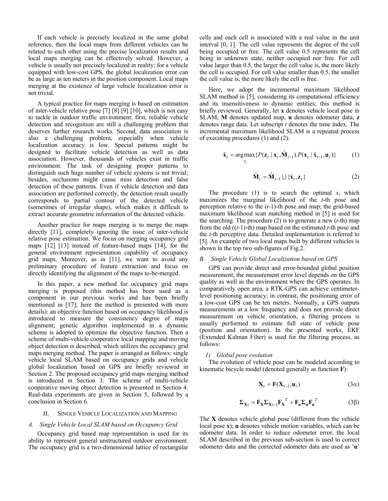If each vehicle is precisely localized in the same global reference, then the local maps from different vehicles can be related to each other using the precise localization results and local maps merging can be effectively solved. However, a vehicle is usually not precisely localized in reality; for a vehicle equipped with low-cost GPS, the global localization error can be as large as ten meters in the position component. Local maps merging at the existence of large vehicle localization error is not trivial.

A typical practice for maps merging is based on estimation of inter-vehicle relative pose [7] [8] [9] [10], which is not easy to tackle in outdoor traffic environment: first, reliable vehicle detection and recognition are still a challenging problem that deserves further research works. Second, data association is also a challenging problem, especially when vehicle localization accuracy is low. Special patterns might be designed to facilitate vehicle detection as well as data association. However, thousands of vehicles exist in traffic environment. The task of designing proper patterns to distinguish such huge number of vehicle systems is not trivial; besides, occlusions might cause miss detection and false detection of these patterns. Even if vehicle detection and data association are performed correctly, the detection result usually corresponds to partial contour of the detected vehicle (sometimes of irregular shape), which makes it difficult to extract accurate geometric information of the detected vehicle.

Another practice for maps merging is to merge the maps directly [11], completely ignoring the issue of inter-vehicle relative pose estimation. We focus on merging occupancy grid maps [12] [13] instead of feature-based maps [14], for the general environment representation capability of occupancy grid maps. Moreover, as in [11], we want to avoid any preliminary procedure of feature extraction and focus on directly identifying the alignment of the maps to-be-merged.

In this paper, a new method for occupancy grid maps merging is proposed (this method has been used as a component in our previous works and has been briefly mentioned in [17]; here the method is presented with more details): an objective function based on occupancy likelihood is introduced to measure the consistency degree of maps alignment; genetic algorithm implemented in a dynamic scheme is adopted to optimize the objective function. Then a scheme of multi-vehicle cooperative local mapping and moving object detection is described, which utilizes the occupancy grid maps merging method. The paper is arranged as follows: single vehicle local SLAM based on occupancy grids and vehicle global localization based on GPS are briefly reviewed in Section 2. The proposed occupancy grid maps merging method is introduced in Section 3. The scheme of multi-vehicle cooperative moving object detection is presented in Section 4. Real-data experiments are given in Section 5, followed by a conclusion in Section 6.

#### II. SINGLE VEHICLE LOCALIZATION AND MAPPING

#### *A. Single Vehicle Local SLAM based on Occupancy Grid*

Occupancy grid based map representation is used for its ability to represent general unstructured outdoor environment. The occupancy grid is a two-dimensional lattice of rectangular cells and each cell is associated with a real value in the unit interval [0, 1]. The cell value represents the degree of the cell being occupied or free. The cell value 0.5 represents the cell being in unknown state, neither occupied nor free. For cell value larger than 0.5, the larger the cell value is, the more likely the cell is occupied. For cell value smaller than 0.5, the smaller the cell value is, the more likely the cell is free.

Here, we adopt the incremental maximum likelihood SLAM method in [5], considering its computational efficiency and its insensitiveness to dynamic entities; this method is briefly reviewed. Generally, let **x** denotes vehicle local pose in SLAM, **M** denotes updated map, **u** denotes odometer data, **z** denotes range data. Let subscript *t* denotes the time index. The incremental maximum likelihood SLAM is a repeated process of executing procedures (1) and (2):

$$
\hat{\mathbf{x}}_t = \underset{x_t}{\arg \max} \{ P(\mathbf{z}_t \mid \mathbf{x}_t, \hat{\mathbf{M}}_{t-1}).P(\mathbf{x}_t \mid \hat{\mathbf{x}}_{t-1}, \mathbf{u}_t) \} \tag{1}
$$

$$
\hat{\mathbf{M}}_t = \hat{\mathbf{M}}_{t-1} \cup \{\hat{\mathbf{x}}_t, \mathbf{z}_t\}
$$
 (2)

The procedure (1) is to search the optimal  $x_t$  which maximizes the marginal likelihood of the *t*-th pose and perception relative to the (*t*-1)-th pose and map; the grid-based maximum likelihood scan matching method in [5] is used for the searching. The procedure (2) is to generate a new (*t*-th) map from the old ((*t*-1)-th) map based on the estimated *t*-th pose and the *t*-th perceptive data. Detailed implementation is referred to [5]. An example of two local maps built by different vehicles is shown in the top two sub-figures of Fig.2.

#### *B. Single Vehicle Global Localization based on GPS*

GPS can provide direct and error-bounded global position measurement; the measurement error level depends on the GPS quality as well as the environment where the GPS operates. In comparatively open area, a RTK-GPS can achieve centimeterlevel positioning accuracy; in contrast, the positioning error of a low-cost GPS can be ten meters. Normally, a GPS outputs measurements at a low frequency and does not provide direct measurement on vehicle orientation, a filtering process is usually performed to estimate full state of vehicle pose (position and orientation). In the presented works, EKF (Extended Kalman Filter) is used for the filtering process, as follows:

#### *1) Global pose evolution*

The evolution of vehicle pose can be modeled according to kinematic bicycle model (denoted generally as function **F**):

$$
\mathbf{X}_t = \mathbf{F}(\mathbf{X}_{t-1}, \mathbf{u}_t) \tag{3\alpha}
$$

$$
\Sigma_{\mathbf{X}t} = \mathbf{F}_{\mathbf{X}} \Sigma_{\mathbf{X}t-1} \mathbf{F}_{\mathbf{X}}^T + \mathbf{F}_{\mathbf{u}} \Sigma_{\mathbf{u}} \mathbf{F}_{\mathbf{u}}^T
$$
 (3β)

The **X** denotes vehicle global pose (different from the vehicle local pose **x**); **u** denotes vehicle motion variables, which can be odometer data. In order to reduce odometer error, the local SLAM described in the previous sub-section is used to correct odometer data and the corrected odometer data are used as '**u**'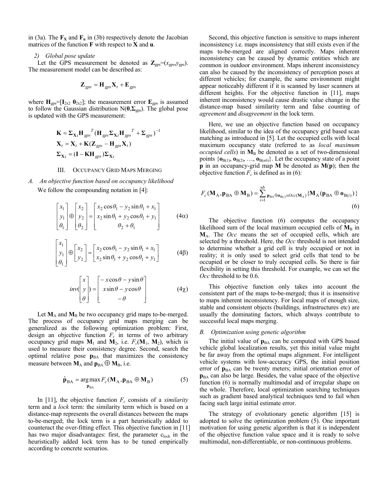in (3a). The  $\mathbf{F}_\mathbf{X}$  and  $\mathbf{F}_\mathbf{u}$  in (3b) respectively denote the Jacobian matrices of the function **F** with respect to **X** and **u**.

#### *2) Global pose update*

Let the GPS measurement be denoted as  $\mathbb{Z}_{\text{gps}}=(x_{\text{gps}},y_{\text{gps}})$ . The measurement model can be described as:

$$
\mathbf{Z}_{\text{gps}} = \mathbf{H}_{\text{gps}} \mathbf{X}_t + \mathbf{E}_{\text{gps}}
$$

where  $\mathbf{H}_{\text{gps}} = [\mathbf{I}_{2x2} \ \mathbf{0}_{2x2}]$ ; the measurement error  $\mathbf{E}_{\text{gps}}$  is assumed to follow the Gaussian distribution  $N(\mathbf{0}, \mathbf{\Sigma}_{\text{gps}})$ . The global pose is updated with the GPS measurement:

$$
\mathbf{K} = \mathbf{\Sigma}_{\mathbf{X}_t} \mathbf{H}_{gps}^T (\mathbf{H}_{gps} \mathbf{\Sigma}_{\mathbf{X}_t} \mathbf{H}_{gps}^T + \mathbf{\Sigma}_{gps})^{-1}
$$
  
\n
$$
\mathbf{X}_t = \mathbf{X}_t + \mathbf{K}(\mathbf{Z}_{gps} - \mathbf{H}_{gps} \mathbf{X}_t)
$$
  
\n
$$
\mathbf{\Sigma}_{\mathbf{X}_t} = (\mathbf{I} - \mathbf{K} \mathbf{H}_{gps}) \mathbf{\Sigma}_{\mathbf{X}_t}
$$

#### III. OCCUPANCY GRID MAPS MERGING

*A. An objective function based on occupancy likelihood*  We follow the compounding notation in [4]:

$$
\begin{bmatrix} x_1 \\ y_1 \\ \theta_1 \end{bmatrix} \oplus \begin{bmatrix} x_2 \\ y_2 \\ \theta_2 \end{bmatrix} = \begin{bmatrix} x_2 \cos \theta_1 - y_2 \sin \theta_1 + x_1 \\ x_2 \sin \theta_1 + y_2 \cos \theta_1 + y_1 \\ \theta_2 + \theta_1 \end{bmatrix}
$$
 (4\alpha)

$$
\begin{bmatrix} x_1 \\ y_1 \\ \theta_1 \end{bmatrix} \oplus \begin{bmatrix} x_2 \\ y_2 \end{bmatrix} = \begin{bmatrix} x_2 \cos \theta_1 - y_2 \sin \theta_1 + x_1 \\ x_2 \sin \theta_1 + y_2 \cos \theta_1 + y_1 \end{bmatrix}
$$
 (4 $\beta$ )

$$
inv\begin{pmatrix} x \\ y \\ \theta \end{pmatrix} = \begin{bmatrix} -x\cos\theta - y\sin\theta \\ x\sin\theta - y\cos\theta \\ -\theta \end{bmatrix}
$$
 (4 $\chi$ )

Let  $M_A$  and  $M_B$  be two occupancy grid maps to-be-merged. The process of occupancy grid maps merging can be generalized as the following optimization problem: First, design an objective function  $F_c$  in terms of two arbitrary occupancy grid maps  $M_1$  and  $M_2$ , i.e.  $F_c(M_1, M_2)$ , which is used to measure their consistency degree. Second, search the optimal relative pose  $p<sub>BA</sub>$  that maximizes the consistency measure between  $M_A$  and  $p_{BA} \oplus M_B$ , i.e.

$$
\hat{\mathbf{p}}_{BA} = \underset{\mathbf{p}_{BA}}{\arg \max} F_c(\mathbf{M}_A, \mathbf{p}_{BA} \oplus \mathbf{M}_B)
$$
(5)

In [11], the objective function *F<sup>c</sup>* consists of a *similarity* term and a *lock* term: the similarity term which is based on a distance-map represents the overall distances between the maps to-be-merged; the lock term is a part heuristically added to counteract the over-fitting effect. This objective function in [11] has two major disadvantages: first, the parameter clock in the heuristically added lock term has to be tuned empirically according to concrete scenarios.

Second, this objective function is sensitive to maps inherent inconsistency i.e. maps inconsistency that still exists even if the maps to-be-merged are aligned correctly. Maps inherent inconsistency can be caused by dynamic entities which are common in outdoor environment. Maps inherent inconsistency can also be caused by the inconsistency of perception poses at different vehicles; for example, the same environment might appear noticeably different if it is scanned by laser scanners at different heights. For the objective function in [11], maps inherent inconsistency would cause drastic value change in the distance-map based similarity term and false counting of *agreement* and *disagreement* in the lock term.

Here, we use an objective function based on occupancy likelihood, similar to the idea of the occupancy grid based scan matching as introduced in [5]. Let the occupied cells with local maximum occupancy state (referred to as *local maximum occupied cells*) in  $M_B$  be denoted as a set of two-dimensional points  $\{\mathbf{o}_{B(1)}, \mathbf{o}_{B(2)}, \ldots, \mathbf{o}_{B(nb)}\}$ . Let the occupancy state of a point **p** in an occupancy-grid map **M** be denoted as **M**(**p**); then the objective function  $F_c$  is defined as in (6):

$$
F_c(\mathbf{M}_A, \mathbf{p}_{BA} \oplus \mathbf{M}_B) = \sum_{i=1}^{nb} \mathbf{p}_{BA} \oplus \mathbf{o}_{B(i)} \in Occ(\mathbf{M}_A)} \{ \mathbf{M}_A(\mathbf{p}_{BA} \oplus \mathbf{o}_{B(i)}) \}
$$
(6)

The objective function (6) computes the occupancy likelihood sum of the local maximum occupied cells of  $M_B$  in **M**A. The *Occ* means the set of occupied cells, which are selected by a threshold. Here, the *Occ* threshold is not intended to determine whether a grid cell is truly occupied or not in reality; it is only used to select grid cells that tend to be occupied or be closer to truly occupied cells. So there is fair flexibility in setting this threshold. For example, we can set the *Occ* threshold to be 0.6.

This objective function only takes into account the consistent part of the maps to-be-merged; thus it is insensitive to maps inherent inconsistency. For local maps of enough size, stable and consistent objects (buildings, infrastructures etc) are usually the dominating factors, which always contribute to successful local maps merging.

#### *B. Optimization using genetic algorithm*

The initial value of  $p_{BA}$  can be computed with GPS based vehicle global localization results, yet this initial value might be far away from the optimal maps alignment. For intelligent vehicle systems with low-accuracy GPS, the initial position error of  $p<sub>BA</sub>$  can be twenty meters; initial orientation error of **p**BA can also be large. Besides, the value space of the objective function (6) is normally multimodal and of irregular shape on the whole. Therefore, local optimization searching techniques such as gradient based analytical techniques tend to fail when facing such large initial estimate error.

The strategy of evolutionary genetic algorithm [15] is adopted to solve the optimization problem (5). One important motivation for using genetic algorithm is that it is independent of the objective function value space and it is ready to solve multimodal, non-differentiable, or non-continuous problems.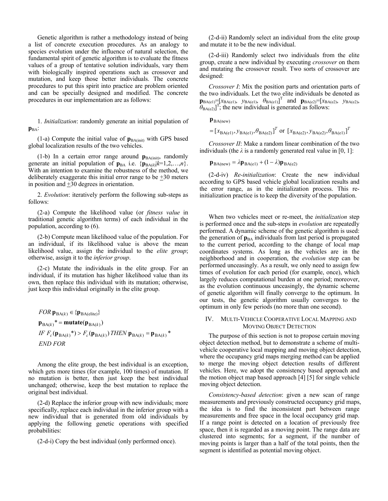Genetic algorithm is rather a methodology instead of being a list of concrete execution procedures. As an analogy to species evolution under the influence of natural selection, the fundamental spirit of genetic algorithm is to evaluate the fitness values of a group of tentative solution individuals, vary them with biologically inspired operations such as crossover and mutation, and keep those better individuals. The concrete procedures to put this spirit into practice are problem oriented and can be specially designed and modified. The concrete procedures in our implementation are as follows:

1. *Initialization*: randomly generate an initial population of p<sub>BA</sub>:

(1-a) Compute the initial value of  $\mathbf{p}_{BA(int)}$  with GPS based global localization results of the two vehicles.

(1-b) In a certain error range around  $\mathbf{p}_{BA(int)}$ , randomly generate an initial population of  $\mathbf{p}_{BA}$  i.e.  $\{\mathbf{p}_{BA(k)}|k=1,2,...,n\}$ . With an intention to examine the robustness of the method, we deliberately exaggerate this initial error range to be  $\pm 30$  meters in position and  $\pm 30$  degrees in orientation.

2. *Evolution*: iteratively perform the following sub-steps as follows:

(2-a) Compute the likelihood value (or *fitness value* in traditional genetic algorithm terms) of each individual in the population, according to (6).

(2-b) Compute mean likelihood value of the population. For an individual, if its likelihood value is above the mean likelihood value, assign the individual to the *elite group*; otherwise, assign it to the *inferior group*.

(2-c) Mutate the individuals in the elite group. For an individual, if its mutation has higher likelihood value than its own, then replace this individual with its mutation; otherwise, just keep this individual originally in the elite group.

\n
$$
FOR \mathbf{p}_{BA(k)} \in \{ \mathbf{p}_{BA(\text{elite})} \}
$$
\n

\n\n $\mathbf{p}_{BA(k)}^* = \text{mutate}(\mathbf{p}_{BA(k)})$ \n

\n\n $IF \ F_c(\mathbf{p}_{BA(k)}^*) > F_c(\mathbf{p}_{BA(k)}) \ THEN \mathbf{p}_{BA(k)} = \mathbf{p}_{BA(k)}^*$ \n

\n\n $END FOR$ \n

Among the elite group, the best individual is an exception, which gets more times (for example, 100 times) of mutation. If no mutation is better, then just keep the best individual unchanged; otherwise, keep the best mutation to replace the original best individual.

(2-d) Replace the inferior group with new individuals; more specifically, replace each individual in the inferior group with a new individual that is generated from old individuals by applying the following genetic operations with specified probabilities:

(2-d-i) Copy the best individual (only performed once).

(2-d-ii) Randomly select an individual from the elite group and mutate it to be the new individual.

(2-d-iii) Randomly select two individuals from the elite group, create a new individual by executing *crossover* on them and mutating the crossover result. Two sorts of crossover are designed:

*Crossover I*: Mix the position parts and orientation parts of the two individuals. Let the two elite individuals be denoted as  $\mathbf{p}_{BA(e1)} = [x_{BA(e1)}, y_{BA(e1)}, \theta_{BA(e1)}]^T$  and  $\mathbf{p}_{BA(e2)} = [x_{BA(e2)}, y_{BA(e2)}, \theta_{BA(e1)}]^T$  $\theta_{BA(e2)}$ ]<sup>T</sup>; the new individual is generated as follows:

 $\mathbf{p}_{BA(new)}$ 

= 
$$
[x_{BA(e1)}, y_{BA(e1)}, \theta_{BA(e2)}]^T
$$
 or  $[x_{BA(e2)}, y_{BA(e2)}, \theta_{BA(e1)}]^T$ 

*Crossover II*: Make a random linear combination of the two individuals (the  $\lambda$  is a randomly generated real value in [0, 1]:

 $\mathbf{p}_{\text{BA(new)}} = \lambda \mathbf{p}_{\text{BA(e1)}} + (1 - \lambda) \mathbf{p}_{\text{BA(e2)}}$ 

(2-d-iv) *Re-initialization*: Create the new individual according to GPS based vehicle global localization results and the error range, as in the initialization process. This reinitialization practice is to keep the diversity of the population.

When two vehicles meet or re-meet, the *initialization* step is performed once and the sub-steps in *evolution* are repeatedly performed. A dynamic scheme of the genetic algorithm is used: the generation of  $\mathbf{p}_{BA}$  individuals from last period is propagated to the current period, according to the change of local map coordinates systems. As long as the vehicles are in the neighborhood and in cooperation, the *evolution* step can be performed unceasingly. As a result, we only need to assign few times of evolution for each period (for example, once), which largely reduces computational burden at one period; moreover, as the evolution continuous unceasingly, the dynamic scheme of genetic algorithm will finally converge to the optimum. In our tests, the genetic algorithm usually converges to the optimum in only few periods (no more than one second).

#### IV. MULTI-VEHICLE COOPERATIVE LOCAL MAPPING AND MOVING OBJECT DETECTION

The purpose of this section is not to propose certain moving object detection method, but to demonstrate a scheme of multivehicle cooperative local mapping and moving object detection, where the occupancy grid maps merging method can be applied to merge the moving object detection results of different vehicles. Here, we adopt the consistency based approach and the motion object map based approach [4] [5] for single vehicle moving object detection.

*Consistency-based detection*: given a new scan of range measurements and previously constructed occupancy grid maps, the idea is to find the inconsistent part between range measurements and free space in the local occupancy grid map. If a range point is detected on a location of previously free space, then it is regarded as a moving point. The range data are clustered into segments; for a segment, if the number of moving points is larger than a half of the total points, then the segment is identified as potential moving object.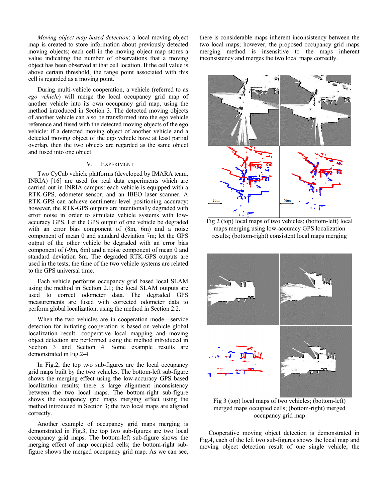*Moving object map based detection*: a local moving object map is created to store information about previously detected moving objects; each cell in the moving object map stores a value indicating the number of observations that a moving object has been observed at that cell location. If the cell value is above certain threshold, the range point associated with this cell is regarded as a moving point.

During multi-vehicle cooperation, a vehicle (referred to as *ego vehicle*) will merge the local occupancy grid map of another vehicle into its own occupancy grid map, using the method introduced in Section 3. The detected moving objects of another vehicle can also be transformed into the ego vehicle reference and fused with the detected moving objects of the ego vehicle: if a detected moving object of another vehicle and a detected moving object of the ego vehicle have at least partial overlap, then the two objects are regarded as the same object and fused into one object.

#### V. EXPERIMENT

Two CyCab vehicle platforms (developed by IMARA team, INRIA) [16] are used for real data experiments which are carried out in INRIA campus: each vehicle is equipped with a RTK-GPS, odometer sensor, and an IBEO laser scanner. A RTK-GPS can achieve centimeter-level positioning accuracy; however, the RTK-GPS outputs are intentionally degraded with error noise in order to simulate vehicle systems with lowaccuracy GPS. Let the GPS output of one vehicle be degraded with an error bias component of (8m, 6m) and a noise component of mean 0 and standard deviation 7m; let the GPS output of the other vehicle be degraded with an error bias component of (-9m, 6m) and a noise component of mean 0 and standard deviation 8m. The degraded RTK-GPS outputs are used in the tests; the time of the two vehicle systems are related to the GPS universal time.

Each vehicle performs occupancy grid based local SLAM using the method in Section 2.1; the local SLAM outputs are used to correct odometer data. The degraded GPS measurements are fused with corrected odometer data to perform global localization, using the method in Section 2.2.

When the two vehicles are in cooperation mode—service detection for initiating cooperation is based on vehicle global localization result—cooperative local mapping and moving object detection are performed using the method introduced in Section 3 and Section 4. Some example results are demonstrated in Fig.2-4.

In Fig.2, the top two sub-figures are the local occupancy grid maps built by the two vehicles. The bottom-left sub-figure shows the merging effect using the low-accuracy GPS based localization results; there is large alignment inconsistency between the two local maps. The bottom-right sub-figure shows the occupancy grid maps merging effect using the method introduced in Section 3; the two local maps are aligned correctly.

Another example of occupancy grid maps merging is demonstrated in Fig.3, the top two sub-figures are two local occupancy grid maps. The bottom-left sub-figure shows the merging effect of map occupied cells; the bottom-right subfigure shows the merged occupancy grid map. As we can see,

there is considerable maps inherent inconsistency between the two local maps; however, the proposed occupancy grid maps merging method is insensitive to the maps inherent inconsistency and merges the two local maps correctly.



Fig 2 (top) local maps of two vehicles; (bottom-left) local maps merging using low-accuracy GPS localization results; (bottom-right) consistent local maps merging



Fig 3 (top) local maps of two vehicles; (bottom-left) merged maps occupied cells; (bottom-right) merged occupancy grid map

Cooperative moving object detection is demonstrated in Fig.4, each of the left two sub-figures shows the local map and moving object detection result of one single vehicle; the